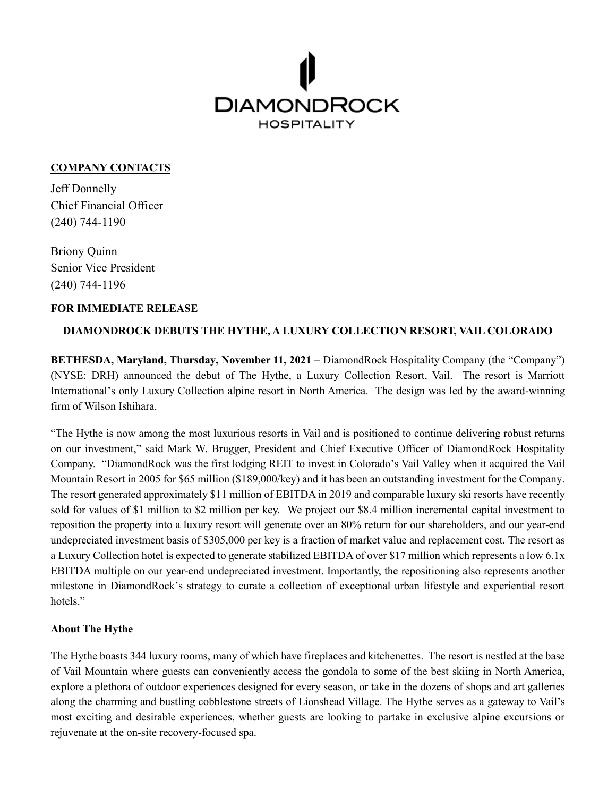

## **COMPANY CONTACTS**

Jeff Donnelly Chief Financial Officer (240) 744-1190

Briony Quinn Senior Vice President (240) 744-1196

#### **FOR IMMEDIATE RELEASE**

## **DIAMONDROCK DEBUTS THE HYTHE, A LUXURY COLLECTION RESORT, VAIL COLORADO**

**BETHESDA, Maryland, Thursday, November 11, 2021 –** DiamondRock Hospitality Company (the "Company") (NYSE: DRH) announced the debut of The Hythe, a Luxury Collection Resort, Vail. The resort is Marriott International's only Luxury Collection alpine resort in North America. The design was led by the award-winning firm of Wilson Ishihara.

"The Hythe is now among the most luxurious resorts in Vail and is positioned to continue delivering robust returns on our investment," said Mark W. Brugger, President and Chief Executive Officer of DiamondRock Hospitality Company. "DiamondRock was the first lodging REIT to invest in Colorado's Vail Valley when it acquired the Vail Mountain Resort in 2005 for \$65 million (\$189,000/key) and it has been an outstanding investment for the Company. The resort generated approximately \$11 million of EBITDA in 2019 and comparable luxury ski resorts have recently sold for values of \$1 million to \$2 million per key. We project our \$8.4 million incremental capital investment to reposition the property into a luxury resort will generate over an 80% return for our shareholders, and our year-end undepreciated investment basis of \$305,000 per key is a fraction of market value and replacement cost. The resort as a Luxury Collection hotel is expected to generate stabilized EBITDA of over \$17 million which represents a low 6.1x EBITDA multiple on our year-end undepreciated investment. Importantly, the repositioning also represents another milestone in DiamondRock's strategy to curate a collection of exceptional urban lifestyle and experiential resort hotels."

## **About The Hythe**

The Hythe boasts 344 luxury rooms, many of which have fireplaces and kitchenettes. The resort is nestled at the base of Vail Mountain where guests can conveniently access the gondola to some of the best skiing in North America, explore a plethora of outdoor experiences designed for every season, or take in the dozens of shops and art galleries along the charming and bustling cobblestone streets of Lionshead Village. The Hythe serves as a gateway to Vail's most exciting and desirable experiences, whether guests are looking to partake in exclusive alpine excursions or rejuvenate at the on-site recovery-focused spa.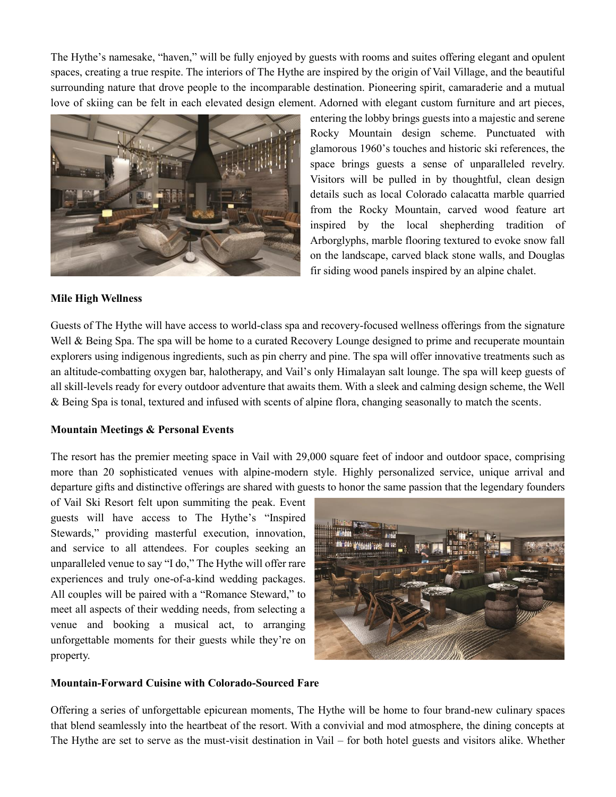The Hythe's namesake, "haven," will be fully enjoyed by guests with rooms and suites offering elegant and opulent spaces, creating a true respite. The interiors of The Hythe are inspired by the origin of Vail Village, and the beautiful surrounding nature that drove people to the incomparable destination. Pioneering spirit, camaraderie and a mutual love of skiing can be felt in each elevated design element. Adorned with elegant custom furniture and art pieces,



entering the lobby brings guests into a majestic and serene Rocky Mountain design scheme. Punctuated with glamorous 1960's touches and historic ski references, the space brings guests a sense of unparalleled revelry. Visitors will be pulled in by thoughtful, clean design details such as local Colorado calacatta marble quarried from the Rocky Mountain, carved wood feature art inspired by the local shepherding tradition of Arborglyphs, marble flooring textured to evoke snow fall on the landscape, carved black stone walls, and Douglas fir siding wood panels inspired by an alpine chalet.

#### **Mile High Wellness**

Guests of The Hythe will have access to world-class spa and recovery-focused wellness offerings from the signature Well & Being Spa. The spa will be home to a curated Recovery Lounge designed to prime and recuperate mountain explorers using indigenous ingredients, such as pin cherry and pine. The spa will offer innovative treatments such as an altitude-combatting oxygen bar, halotherapy, and Vail's only Himalayan salt lounge. The spa will keep guests of all skill-levels ready for every outdoor adventure that awaits them. With a sleek and calming design scheme, the Well & Being Spa is tonal, textured and infused with scents of alpine flora, changing seasonally to match the scents.

#### **Mountain Meetings & Personal Events**

The resort has the premier meeting space in Vail with 29,000 square feet of indoor and outdoor space, comprising more than 20 sophisticated venues with alpine-modern style. Highly personalized service, unique arrival and departure gifts and distinctive offerings are shared with guests to honor the same passion that the legendary founders

of Vail Ski Resort felt upon summiting the peak. Event guests will have access to The Hythe's "Inspired Stewards," providing masterful execution, innovation, and service to all attendees. For couples seeking an unparalleled venue to say "I do," The Hythe will offer rare experiences and truly one-of-a-kind wedding packages. All couples will be paired with a "Romance Steward," to meet all aspects of their wedding needs, from selecting a venue and booking a musical act, to arranging unforgettable moments for their guests while they're on property.



#### **Mountain-Forward Cuisine with Colorado-Sourced Fare**

Offering a series of unforgettable epicurean moments, The Hythe will be home to four brand-new culinary spaces that blend seamlessly into the heartbeat of the resort. With a convivial and mod atmosphere, the dining concepts at The Hythe are set to serve as the must-visit destination in Vail – for both hotel guests and visitors alike. Whether